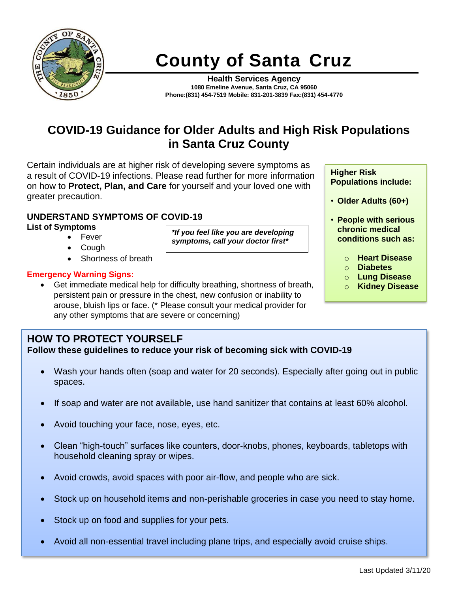

# **County of Santa Cruz**

**Health Services Agency 1080 Emeline Avenue, Santa Cruz, CA 95060 Phone:(831) 454-7519 Mobile: 831-201-3839 Fax:(831) 454-4770**

## **COVID-19 Guidance for Older Adults and High Risk Populations in Santa Cruz County**

*\*If you feel like you are developing symptoms, call your doctor first\** 

Certain individuals are at higher risk of developing severe symptoms as a result of COVID-19 infections. Please read further for more information on how to **Protect, Plan, and Care** for yourself and your loved one with greater precaution.

#### **UNDERSTAND SYMPTOMS OF COVID-19**

**List of Symptoms** 

- Fever
- Cough
- Shortness of breath

#### **Emergency Warning Signs:**

• Get immediate medical help for difficulty breathing, shortness of breath, persistent pain or pressure in the chest, new confusion or inability to arouse, bluish lips or face. (\* Please consult your medical provider for any other symptoms that are severe or concerning)

#### **Higher Risk Populations include:**

- **Older Adults (60+)**
- **People with serious chronic medical conditions such as:** 
	- o **Heart Disease**
	- o **Diabetes**
	- o **Lung Disease**
	- o **Kidney Disease**

## **HOW TO PROTECT YOURSELF**

**Follow these guidelines to reduce your risk of becoming sick with COVID-19** 

- Wash your hands often (soap and water for 20 seconds). Especially after going out in public spaces.
- If soap and water are not available, use hand sanitizer that contains at least 60% alcohol.
- Avoid touching your face, nose, eyes, etc.
- Clean "high-touch" surfaces like counters, door-knobs, phones, keyboards, tabletops with household cleaning spray or wipes.
- Avoid crowds, avoid spaces with poor air-flow, and people who are sick.
- Stock up on household items and non-perishable groceries in case you need to stay home.
- Stock up on food and supplies for your pets.
- Avoid all non-essential travel including plane trips, and especially avoid cruise ships.